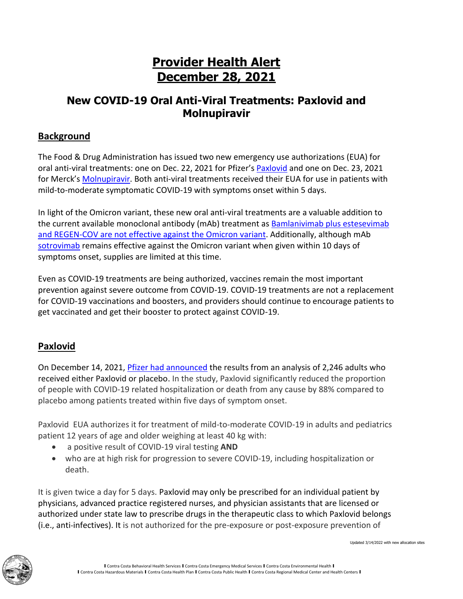# **Provider Health Alert December 28, 2021**

# **New COVID-19 Oral Anti-Viral Treatments: Paxlovid and Molnupiravir**

## **Background**

The Food & Drug Administration has issued two new emergency use authorizations (EUA) for oral anti-viral treatments: one on Dec. 22, 2021 for Pfizer's [Paxlovid](https://www.fda.gov/news-events/press-announcements/coronavirus-covid-19-update-fda-authorizes-first-oral-antiviral-treatment-covid-19) and one on Dec. 23, 2021 for Merck's [Molnupiravir.](https://www.fda.gov/news-events/press-announcements/coronavirus-covid-19-update-fda-authorizes-first-oral-antiviral-treatment-covid-19) Both anti-viral treatments received their EUA for use in patients with mild-to-moderate symptomatic COVID-19 with symptoms onset within 5 days.

In light of the Omicron variant, these new oral anti-viral treatments are a valuable addition to the current available monoclonal antibody (mAb) treatment as [Bamlanivimab plus estesevimab](https://www.covid19treatmentguidelines.nih.gov/therapies/statement-on-anti-sars-cov-2-mabs-and-rdv-and-omicron/)  and REGEN-COV [are not effective against](https://www.covid19treatmentguidelines.nih.gov/therapies/statement-on-anti-sars-cov-2-mabs-and-rdv-and-omicron/) the Omicron variant. Additionally, although mAb [sotrovimab](https://www.sotrovimab.com/) remains effective against the Omicron variant when given within 10 days of symptoms onset, supplies are limited at this time.

Even as COVID-19 treatments are being authorized, vaccines remain the most important prevention against severe outcome from COVID-19. COVID-19 treatments are not a replacement for COVID-19 vaccinations and boosters, and providers should continue to encourage patients to get vaccinated and get their booster to protect against COVID-19.

## **Paxlovid**

On December 14, 2021, [Pfizer had announced](https://www.fda.gov/news-events/press-announcements/coronavirus-covid-19-update-fda-authorizes-first-oral-antiviral-treatment-covid-19) the results from an analysis of 2,246 adults who received either Paxlovid or placebo. In the study, Paxlovid significantly reduced the proportion of people with COVID-19 related hospitalization or death from any cause by 88% compared to placebo among patients treated within five days of symptom onset.

Paxlovid EUA authorizes it for treatment of mild-to-moderate COVID-19 in adults and pediatrics patient 12 years of age and older weighing at least 40 kg with:

- a positive result of COVID-19 viral testing **AND**
- who are at high risk for progression to severe COVID-19, including hospitalization or death.

It is given twice a day for 5 days. Paxlovid may only be prescribed for an individual patient by physicians, advanced practice registered nurses, and physician assistants that are licensed or authorized under state law to prescribe drugs in the therapeutic class to which Paxlovid belongs (i.e., anti-infectives). It is not authorized for the pre-exposure or post-exposure prevention of

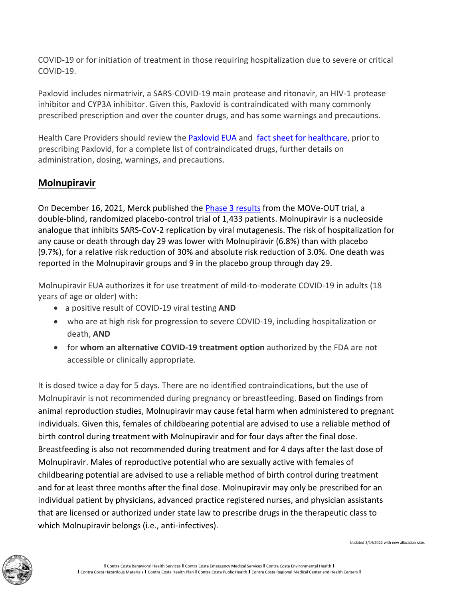COVID-19 or for initiation of treatment in those requiring hospitalization due to severe or critical COVID-19.

Paxlovid includes nirmatrivir, a SARS-COVID-19 main protease and ritonavir, an HIV-1 protease inhibitor and CYP3A inhibitor. Given this, Paxlovid is contraindicated with many commonly prescribed prescription and over the counter drugs, and has some warnings and precautions.

Health Care Providers should review the [Paxlovid EUA](https://www.fda.gov/media/155049/download) and [fact sheet for healthcare,](https://www.fda.gov/media/155050/download) prior to prescribing Paxlovid, for a complete list of contraindicated drugs, further details on administration, dosing, warnings, and precautions.

### **Molnupiravir**

On December 16, 2021, Merck published the **Phase 3 results** from the MOVe-OUT trial, a double-blind, randomized placebo-control trial of 1,433 patients. Molnupiravir is a nucleoside analogue that inhibits SARS-CoV-2 replication by viral mutagenesis. The risk of hospitalization for any cause or death through day 29 was lower with Molnupiravir (6.8%) than with placebo (9.7%), for a relative risk reduction of 30% and absolute risk reduction of 3.0%. One death was reported in the Molnupiravir groups and 9 in the placebo group through day 29.

Molnupiravir EUA authorizes it for use treatment of mild-to-moderate COVID-19 in adults (18 years of age or older) with:

- a positive result of COVID-19 viral testing **AND**
- who are at high risk for progression to severe COVID-19, including hospitalization or death, **AND**
- for **whom an alternative COVID-19 treatment option** authorized by the FDA are not accessible or clinically appropriate.

It is dosed twice a day for 5 days. There are no identified contraindications, but the use of Molnupiravir is not recommended during pregnancy or breastfeeding. Based on findings from animal reproduction studies, Molnupiravir may cause fetal harm when administered to pregnant individuals. Given this, females of childbearing potential are advised to use a reliable method of birth control during treatment with Molnupiravir and for four days after the final dose. Breastfeeding is also not recommended during treatment and for 4 days after the last dose of Molnupiravir. Males of reproductive potential who are sexually active with females of childbearing potential are advised to use a reliable method of birth control during treatment and for at least three months after the final dose. Molnupiravir may only be prescribed for an individual patient by physicians, advanced practice registered nurses, and physician assistants that are licensed or authorized under state law to prescribe drugs in the therapeutic class to which Molnupiravir belongs (i.e., anti-infectives).



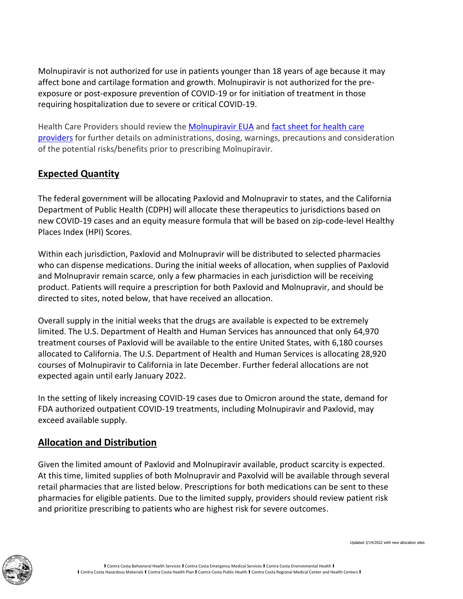Molnupiravir is not authorized for use in patients younger than 18 years of age because it may affect bone and cartilage formation and growth. Molnupiravir is not authorized for the preexposure or post-exposure prevention of COVID-19 or for initiation of treatment in those requiring hospitalization due to severe or critical COVID-19.

Health Care Providers should review the **[Molnupiravir EUA](https://www.fda.gov/media/155053/download)** and fact sheet for health care [providers](https://www.fda.gov/media/155054/download) for further details on administrations, dosing, warnings, precautions and consideration of the potential risks/benefits prior to prescribing Molnupiravir.

# **Expected Quantity**

The federal government will be allocating Paxlovid and Molnupravir to states, and the California Department of Public Health (CDPH) will allocate these therapeutics to jurisdictions based on new COVID-19 cases and an equity measure formula that will be based on zip-code-level Healthy Places Index (HPI) Scores.

Within each jurisdiction, Paxlovid and Molnupravir will be distributed to selected pharmacies who can dispense medications. During the initial weeks of allocation, when supplies of Paxlovid and Molnupravir remain scarce, only a few pharmacies in each jurisdiction will be receiving product. Patients will require a prescription for both Paxlovid and Molnupravir, and should be directed to sites, noted below, that have received an allocation.

Overall supply in the initial weeks that the drugs are available is expected to be extremely limited. The U.S. Department of Health and Human Services has announced that only 64,970 treatment courses of Paxlovid will be available to the entire United States, with 6,180 courses allocated to California. The U.S. Department of Health and Human Services is allocating 28,920 courses of Molnupiravir to California in late December. Further federal allocations are not expected again until early January 2022.

In the setting of likely increasing COVID-19 cases due to Omicron around the state, demand for FDA authorized outpatient COVID-19 treatments, including Molnupiravir and Paxlovid, may exceed available supply.

#### **Allocation and Distribution**

Given the limited amount of Paxlovid and Molnupiravir available, product scarcity is expected. At this time, limited supplies of both Molnupravir and Paxolvid will be available through several retail pharmacies that are listed below. Prescriptions for both medications can be sent to these pharmacies for eligible patients. Due to the limited supply, providers should review patient risk and prioritize prescribing to patients who are highest risk for severe outcomes.

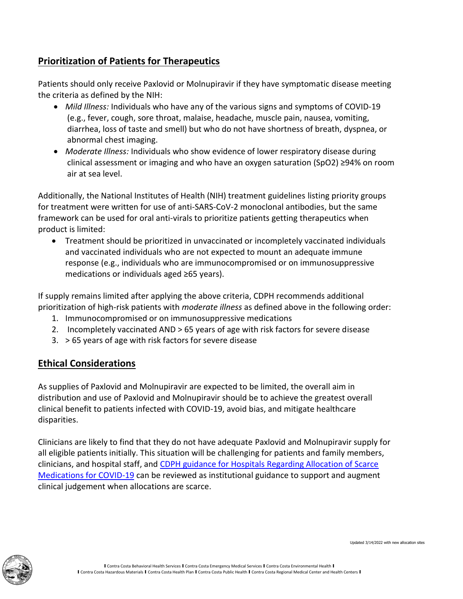## **Prioritization of Patients for Therapeutics**

Patients should only receive Paxlovid or Molnupiravir if they have symptomatic disease meeting the criteria as defined by the NIH:

- *Mild Illness:* Individuals who have any of the various signs and symptoms of COVID-19 (e.g., fever, cough, sore throat, malaise, headache, muscle pain, nausea, vomiting, diarrhea, loss of taste and smell) but who do not have shortness of breath, dyspnea, or abnormal chest imaging.
- *Moderate Illness:* Individuals who show evidence of lower respiratory disease during clinical assessment or imaging and who have an oxygen saturation (SpO2) ≥94% on room air at sea level.

Additionally, the National Institutes of Health (NIH) treatment guidelines listing priority groups for treatment were written for use of anti-SARS-CoV-2 monoclonal antibodies, but the same framework can be used for oral anti-virals to prioritize patients getting therapeutics when product is limited:

• Treatment should be prioritized in unvaccinated or incompletely vaccinated individuals and vaccinated individuals who are not expected to mount an adequate immune response (e.g., individuals who are immunocompromised or on immunosuppressive medications or individuals aged ≥65 years).

If supply remains limited after applying the above criteria, CDPH recommends additional prioritization of high-risk patients with *moderate illness* as defined above in the following order:

- 1. Immunocompromised or on immunosuppressive medications
- 2. Incompletely vaccinated AND > 65 years of age with risk factors for severe disease
- 3. > 65 years of age with risk factors for severe disease

#### **Ethical Considerations**

As supplies of Paxlovid and Molnupiravir are expected to be limited, the overall aim in distribution and use of Paxlovid and Molnupiravir should be to achieve the greatest overall clinical benefit to patients infected with COVID-19, avoid bias, and mitigate healthcare disparities.

Clinicians are likely to find that they do not have adequate Paxlovid and Molnupiravir supply for all eligible patients initially. This situation will be challenging for patients and family members, clinicians, and hospital staff, and [CDPH guidance for Hospitals Regarding Allocation of Scarce](https://www.cdph.ca.gov/Programs/CID/DCDC/Pages/COVID-19/GuidanceForHospitalsRegardingAllocationOfScarceMedicationsForCOVID19.aspx)  [Medications for COVID-19](https://www.cdph.ca.gov/Programs/CID/DCDC/Pages/COVID-19/GuidanceForHospitalsRegardingAllocationOfScarceMedicationsForCOVID19.aspx) can be reviewed as institutional guidance to support and augment clinical judgement when allocations are scarce.

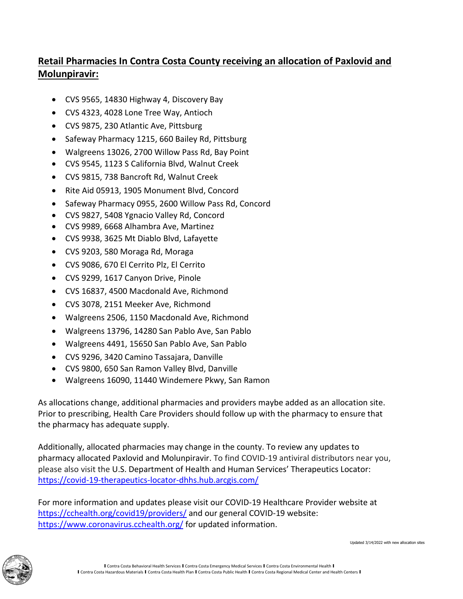# **Retail Pharmacies In Contra Costa County receiving an allocation of Paxlovid and Molunpiravir:**

- CVS 9565, 14830 Highway 4, Discovery Bay
- CVS 4323, 4028 Lone Tree Way, Antioch
- CVS 9875, 230 Atlantic Ave, Pittsburg
- Safeway Pharmacy 1215, 660 Bailey Rd, Pittsburg
- Walgreens 13026, 2700 Willow Pass Rd, Bay Point
- CVS 9545, 1123 S California Blvd, Walnut Creek
- CVS 9815, 738 Bancroft Rd, Walnut Creek
- Rite Aid 05913, 1905 Monument Blvd, Concord
- Safeway Pharmacy 0955, 2600 Willow Pass Rd, Concord
- CVS 9827, 5408 Ygnacio Valley Rd, Concord
- CVS 9989, 6668 Alhambra Ave, Martinez
- CVS 9938, 3625 Mt Diablo Blvd, Lafayette
- CVS 9203, 580 Moraga Rd, Moraga
- CVS 9086, 670 El Cerrito Plz, El Cerrito
- CVS 9299, 1617 Canyon Drive, Pinole
- CVS 16837, 4500 Macdonald Ave, Richmond
- CVS 3078, 2151 Meeker Ave, Richmond
- Walgreens 2506, 1150 Macdonald Ave, Richmond
- Walgreens 13796, 14280 San Pablo Ave, San Pablo
- Walgreens 4491, 15650 San Pablo Ave, San Pablo
- CVS 9296, 3420 Camino Tassajara, Danville
- CVS 9800, 650 San Ramon Valley Blvd, Danville
- Walgreens 16090, 11440 Windemere Pkwy, San Ramon

As allocations change, additional pharmacies and providers maybe added as an allocation site. Prior to prescribing, Health Care Providers should follow up with the pharmacy to ensure that the pharmacy has adequate supply.

Additionally, allocated pharmacies may change in the county. To review any updates to pharmacy allocated Paxlovid and Molunpiravir. To find COVID-19 antiviral distributors near you, please also visit the U.S. Department of Health and Human Services' Therapeutics Locator: <https://covid-19-therapeutics-locator-dhhs.hub.arcgis.com/>

For more information and updates please visit our COVID-19 Healthcare Provider website at <https://cchealth.org/covid19/providers/> and our general COVID-19 website: <https://www.coronavirus.cchealth.org/> for updated information.